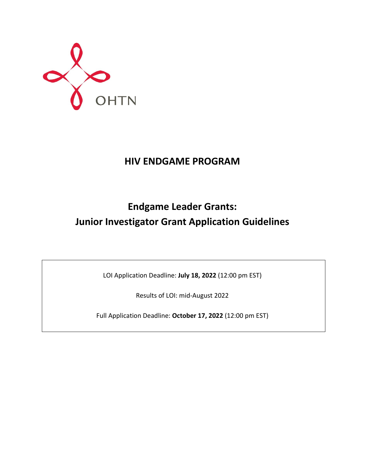

## **HIV ENDGAME PROGRAM**

# **Endgame Leader Grants: Junior Investigator Grant Application Guidelines**

LOI Application Deadline: **July 18, 2022** (12:00 pm EST)

Results of LOI: mid-August 2022

Full Application Deadline: **October 17, 2022** (12:00 pm EST)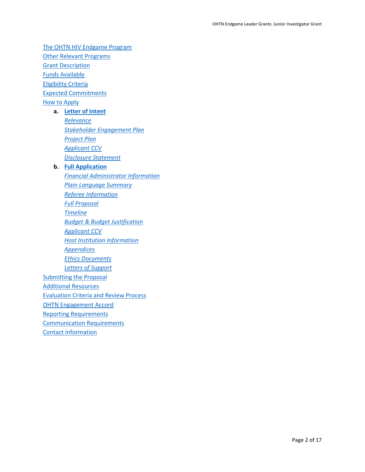[The OHTN HIV Endgame Program](#page-2-0) [Other Relevant Programs](#page-3-0) Grant [Description](#page-3-1) [Funds Available](#page-4-0) [Eligibility Criteria](#page-5-0) [Expected Commitments](#page-5-1) [How to Apply](#page-6-0) **a. [Letter of Intent](#page-6-1)** *[Relevance](#page-6-2) [Stakeholder Engagement Plan](#page-7-0) [Project Plan](#page-7-1) [Applicant CCV](#page-7-2) [Disclosure Statement](#page-7-3)* **b. [Full Application](#page-8-0)** *[Financial Administrator Information](#page-8-1) [Plain Language Summary](#page-8-2) [Referee Information](#page-8-3) [Full Proposal](#page-9-0) [Timeline](#page-10-0) [Budget & Budget Justification](#page-10-1) [Applicant](#page-10-2) CCV [Host Institution Information](#page-10-3) [Appendices](#page-11-0) [Ethics Documents](#page-11-1) [Letters of Support](#page-11-2)* **[Submitting the Proposal](#page-11-3)** [Additional Resources](#page-12-0) [Evaluation Criteria and Review Process](#page-13-0) [OHTN Engagement Accord](#page-14-0) [Reporting Requirements](#page-14-1) [Communication Requirements](#page-15-0)

[Contact Information](#page-16-0)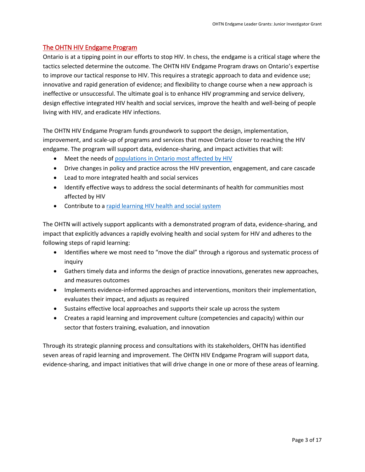## <span id="page-2-0"></span>The OHTN HIV Endgame Program

Ontario is at a tipping point in our efforts to stop HIV. In chess, the endgame is a critical stage where the tactics selected determine the outcome. The OHTN HIV Endgame Program draws on Ontario's expertise to improve our tactical response to HIV. This requires a strategic approach to data and evidence use; innovative and rapid generation of evidence; and flexibility to change course when a new approach is ineffective or unsuccessful. The ultimate goal is to enhance HIV programming and service delivery, design effective integrated HIV health and social services, improve the health and well-being of people living with HIV, and eradicate HIV infections.

The OHTN HIV Endgame Program funds groundwork to support the design, implementation, improvement, and scale-up of programs and services that move Ontario closer to reaching the HIV endgame. The program will support data, evidence-sharing, and impact activities that will:

- Meet the needs of [populations in Ontario most affected by HIV](#page-3-2)
- Drive changes in policy and practice across the HIV prevention, engagement, and care cascade
- Lead to more integrated health and social services
- Identify effective ways to address the social determinants of health for communities most affected by HIV
- Contribute to [a rapid learning HIV health and social system](http://www.ohtn.on.ca/about/rapid-learning/)

The OHTN will actively support applicants with a demonstrated program of data, evidence-sharing, and impact that explicitly advances a rapidly evolving health and social system for HIV and adheres to the following steps of rapid learning:

- Identifies where we most need to "move the dial" through a rigorous and systematic process of inquiry
- Gathers timely data and informs the design of practice innovations, generates new approaches, and measures outcomes
- Implements evidence-informed approaches and interventions, monitors their implementation, evaluates their impact, and adjusts as required
- Sustains effective local approaches and supports their scale up across the system
- Creates a rapid learning and improvement culture (competencies and capacity) within our sector that fosters training, evaluation, and innovation

Through its strategic planning process and consultations with its stakeholders, OHTN has identified seven areas of rapid learning and improvement. The OHTN HIV Endgame Program will support data, evidence-sharing, and impact initiatives that will drive change in one or more of these areas of learning.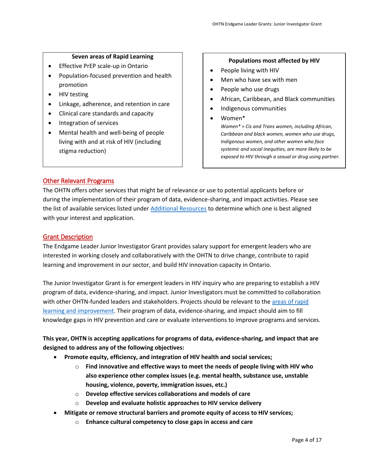#### **Seven areas of Rapid Learning**

- <span id="page-3-3"></span>• Effective PrEP scale-up in Ontario
- Population-focused prevention and health promotion
- HIV testing
- Linkage, adherence, and retention in care
- Clinical care standards and capacity
- Integration of services
- Mental health and well-being of people living with and at risk of HIV (including stigma reduction)

#### **Populations most affected by HIV**

- <span id="page-3-2"></span>• People living with HIV
- Men who have sex with men
- People who use drugs
- African, Caribbean, and Black communities
- Indigenous communities
- Women\*

*Women\* = Cis and Trans women, including African, Caribbean and black women, women who use drugs, Indigenous women, and other women who face systemic and social inequities, are more likely to be exposed to HIV through a sexual or drug using partner.*

## <span id="page-3-0"></span>Other Relevant Programs

The OHTN offers other services that might be of relevance or use to potential applicants before or during the implementation of their program of data, evidence-sharing, and impact activities. Please see the list of available services listed unde[r Additional Resources](#page-12-0) to determine which one is best aligned with your interest and application.

#### <span id="page-3-1"></span>Grant Description

The Endgame Leader Junior Investigator Grant provides salary support for emergent leaders who are interested in working closely and collaboratively with the OHTN to drive change, contribute to rapid learning and improvement in our sector, and build HIV innovation capacity in Ontario.

The Junior Investigator Grant is for emergent leaders in HIV inquiry who are preparing to establish a HIV program of data, evidence-sharing, and impact. Junior Investigators must be committed to collaboration with other OHTN-funded leaders and stakeholders. Projects should be relevant to th[e areas of rapid](#page-3-3)  [learning and improvement.](#page-3-3) Their program of data, evidence-sharing, and impact should aim to fill knowledge gaps in HIV prevention and care or evaluate interventions to improve programs and services.

## **This year, OHTN is accepting applications for programs of data, evidence-sharing, and impact that are designed to address any of the following objectives:**

- **Promote equity, efficiency, and integration of HIV health and social services;**
	- o **Find innovative and effective ways to meet the needs of people living with HIV who also experience other complex issues (e.g. mental health, substance use, unstable housing, violence, poverty, immigration issues, etc.)**
	- o **Develop effective services collaborations and models of care**
	- o **Develop and evaluate holistic approaches to HIV service delivery**
- **Mitigate or remove structural barriers and promote equity of access to HIV services;**
	- o **Enhance cultural competency to close gaps in access and care**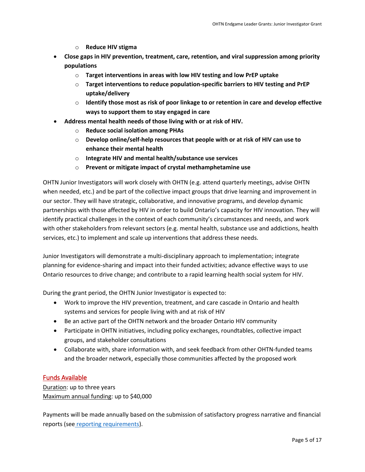- o **Reduce HIV stigma**
- **Close gaps in HIV prevention, treatment, care, retention, and viral suppression among priority populations**
	- o **Target interventions in areas with low HIV testing and low PrEP uptake**
	- o **Target interventions to reduce population-specific barriers to HIV testing and PrEP uptake/delivery**
	- o **Identify those most as risk of poor linkage to or retention in care and develop effective ways to support them to stay engaged in care**
- **Address mental health needs of those living with or at risk of HIV.**
	- o **Reduce social isolation among PHAs**
	- o **Develop online/self-help resources that people with or at risk of HIV can use to enhance their mental health**
	- o **Integrate HIV and mental health/substance use services**
	- o **Prevent or mitigate impact of crystal methamphetamine use**

OHTN Junior Investigators will work closely with OHTN (e.g. attend quarterly meetings, advise OHTN when needed, etc.) and be part of the collective impact groups that drive learning and improvement in our sector. They will have strategic, collaborative, and innovative programs, and develop dynamic partnerships with those affected by HIV in order to build Ontario's capacity for HIV innovation. They will identify practical challenges in the context of each community's circumstances and needs, and work with other stakeholders from relevant sectors (e.g. mental health, substance use and addictions, health services, etc.) to implement and scale up interventions that address these needs.

Junior Investigators will demonstrate a multi-disciplinary approach to implementation; integrate planning for evidence-sharing and impact into their funded activities; advance effective ways to use Ontario resources to drive change; and contribute to a rapid learning health social system for HIV.

During the grant period, the OHTN Junior Investigator is expected to:

- Work to improve the HIV prevention, treatment, and care cascade in Ontario and health systems and services for people living with and at risk of HIV
- Be an active part of the OHTN network and the broader Ontario HIV community
- Participate in OHTN initiatives, including policy exchanges, roundtables, collective impact groups, and stakeholder consultations
- Collaborate with, share information with, and seek feedback from other OHTN-funded teams and the broader network, especially those communities affected by the proposed work

## <span id="page-4-0"></span>Funds Available

Duration: up to three years Maximum annual funding: up to \$40,000

Payments will be made annually based on the submission of satisfactory progress narrative and financial reports (see\_[reporting requirements\)](#page-14-1).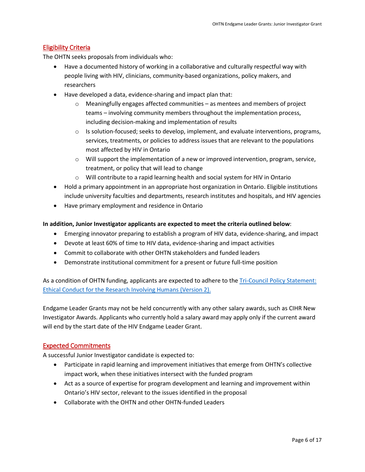## <span id="page-5-0"></span>Eligibility Criteria

The OHTN seeks proposals from individuals who:

- Have a documented history of working in a collaborative and culturally respectful way with people living with HIV, clinicians, community-based organizations, policy makers, and researchers
- Have developed a data, evidence-sharing and impact plan that:
	- $\circ$  Meaningfully engages affected communities as mentees and members of project teams – involving community members throughout the implementation process, including decision-making and implementation of results
	- $\circ$  Is solution-focused; seeks to develop, implement, and evaluate interventions, programs, services, treatments, or policies to address issues that are relevant to the populations most affected by HIV in Ontario
	- $\circ$  Will support the implementation of a new or improved intervention, program, service, treatment, or policy that will lead to change
	- $\circ$  Will contribute to a rapid learning health and social system for HIV in Ontario
- Hold a primary appointment in an appropriate host organization in Ontario. Eligible institutions include university faculties and departments, research institutes and hospitals, and HIV agencies
- Have primary employment and residence in Ontario

#### **In addition, Junior Investigator applicants are expected to meet the criteria outlined below**:

- Emerging innovator preparing to establish a program of HIV data, evidence-sharing, and impact
- Devote at least 60% of time to HIV data, evidence-sharing and impact activities
- Commit to collaborate with other OHTN stakeholders and funded leaders
- Demonstrate institutional commitment for a present or future full-time position

As a condition of OHTN funding, applicants are expected to adhere to the [Tri-Council Policy Statement:](http://www.pre.ethics.gc.ca/eng/policy-politique_tcps2-eptc2_2018.html)  [Ethical Conduct for the Research Involving Humans \(Version 2\).](http://www.pre.ethics.gc.ca/eng/policy-politique_tcps2-eptc2_2018.html)

Endgame Leader Grants may not be held concurrently with any other salary awards, such as CIHR New Investigator Awards. Applicants who currently hold a salary award may apply only if the current award will end by the start date of the HIV Endgame Leader Grant.

#### <span id="page-5-1"></span>Expected Commitments

A successful Junior Investigator candidate is expected to:

- Participate in rapid learning and improvement initiatives that emerge from OHTN's collective impact work, when these initiatives intersect with the funded program
- Act as a source of expertise for program development and learning and improvement within Ontario's HIV sector, relevant to the issues identified in the proposal
- Collaborate with the OHTN and other OHTN-funded Leaders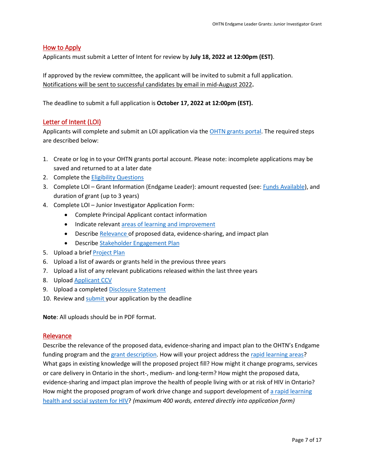### <span id="page-6-0"></span>How to Apply

Applicants must submit a Letter of Intent for review by **July 18, 2022 at 12:00pm (EST)**.

If approved by the review committee, the applicant will be invited to submit a full application. Notifications will be sent to successful candidates by email in mid-August 2022**.**

The deadline to submit a full application is **October 17, 2022 at 12:00pm (EST).**

## <span id="page-6-1"></span>Letter of Intent (LOI)

Applicants will complete and submit an LOI application via the [OHTN grants portal.](https://apply-ohtn-on.smapply.io/) The required steps are described below:

- 1. Create or log in to your OHTN grants portal account. Please note: incomplete applications may be saved and returned to at a later date
- 2. Complete the [Eligibility Questions](#page-5-0)
- 3. Complete LOI Grant Information (Endgame Leader): amount requested (see: *Funds Available*), and duration of grant (up to 3 years)
- 4. Complete LOI Junior Investigator Application Form:
	- Complete Principal Applicant contact information
	- Indicate relevant [areas of learning and improvement](#page-3-3)
	- Describe [Relevance o](#page-6-2)f proposed data, evidence-sharing, and impact plan
	- Describe [Stakeholder Engagement Plan](#page-7-0)
- 5. Upload a brief [Project Plan](#page-7-1)
- 6. Upload a list of awards or grants held in the previous three years
- 7. Upload a list of any relevant publications released within the last three years
- 8. Uploa[d Applicant](#page-7-2) CCV
- 9. Upload a completed [Disclosure Statement](#page-7-3)
- 10. Review and [submit y](#page-11-3)our application by the deadline

**Note**: All uploads should be in PDF format.

#### <span id="page-6-2"></span>Relevance

Describe the relevance of the proposed data, evidence-sharing and impact plan to the OHTN's Endgame funding program and the grant [description.](#page-3-0) How will your project address the [rapid learning areas?](#page-3-3) What gaps in existing knowledge will the proposed project fill? How might it change programs, services or care delivery in Ontario in the short-, medium- and long-term? How might the proposed data, evidence-sharing and impact plan improve the health of people living with or at risk of HIV in Ontario? How might the proposed program of work drive change and support development o[f a rapid learning](http://www.ohtn.on.ca/about/rapid-learning/)  [health and social system for HIV?](http://www.ohtn.on.ca/about/rapid-learning/) *(maximum 400 words, entered directly into application form)*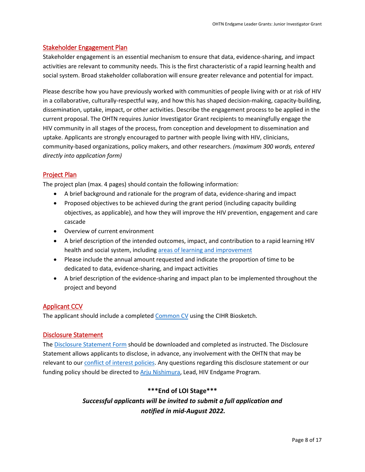## <span id="page-7-0"></span>Stakeholder Engagement Plan

Stakeholder engagement is an essential mechanism to ensure that data, evidence-sharing, and impact activities are relevant to community needs. This is the first characteristic of a rapid learning health and social system. Broad stakeholder collaboration will ensure greater relevance and potential for impact.

Please describe how you have previously worked with communities of people living with or at risk of HIV in a collaborative, culturally-respectful way, and how this has shaped decision-making, capacity-building, dissemination, uptake, impact, or other activities. Describe the engagement process to be applied in the current proposal. The OHTN requires Junior Investigator Grant recipients to meaningfully engage the HIV community in all stages of the process, from conception and development to dissemination and uptake. Applicants are strongly encouraged to partner with people living with HIV, clinicians, community-based organizations, policy makers, and other researchers. *(maximum 300 words, entered directly into application form)*

## <span id="page-7-1"></span>Project Plan

The project plan (max. 4 pages) should contain the following information:

- A brief background and rationale for the program of data, evidence-sharing and impact
- Proposed objectives to be achieved during the grant period (including capacity building objectives, as applicable), and how they will improve the HIV prevention, engagement and care cascade
- Overview of current environment
- A brief description of the intended outcomes, impact, and contribution to a rapid learning HIV health and social system, includin[g areas of learning and improvement](#page-3-3)
- Please include the annual amount requested and indicate the proportion of time to be dedicated to data, evidence-sharing, and impact activities
- A brief description of the evidence-sharing and impact plan to be implemented throughout the project and beyond

## <span id="page-7-2"></span>Applicant CCV

The applicant should include a complete[d Common CV](https://ccv-cvc.ca/indexresearcher-eng.frm) using the CIHR Biosketch.

## <span id="page-7-3"></span>Disclosure Statement

The [Disclosure Statement Form](https://apply-ohtn-on.smapply.io/protected/resource/eyJoZnJlIjogOTkyMzg1MzAsICJ2cSI6IDE3Mzc3Nn0/) should be downloaded and completed as instructed. The Disclosure Statement allows applicants to disclose, in advance, any involvement with the OHTN that may be relevant to our [conflict of interest policies.](http://www.ohtn.on.ca/policies-and-guidelines/conflict-of-interest-policy/) Any questions regarding this disclosure statement or our funding policy should be directed to [Arju Nishimura,](mailto:anishimura@ohtn.on.ca) Lead, HIV Endgame Program.

## **\*\*\*End of LOI Stage\*\*\***

## *Successful applicants will be invited to submit a full application and notified in mid-August 2022.*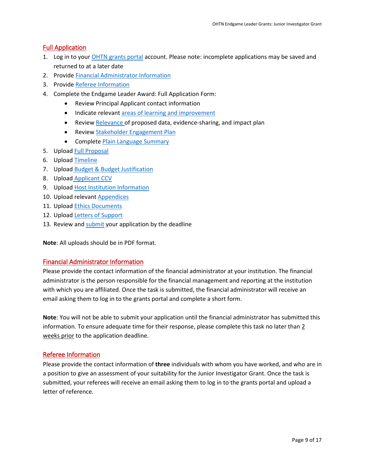## <span id="page-8-0"></span>Full Application

- 1. Log in to you[r OHTN grants portal](https://apply-ohtn-on.smapply.io/) account. Please note: incomplete applications may be saved and returned to at a later date
- 2. Provid[e Financial Administrator Information](#page-8-1)
- 3. Provid[e Referee Information](#page-8-3)
- 4. Complete the Endgame Leader Award: Full Application Form:
	- Review Principal Applicant contact information
	- Indicate relevant [areas of learning and improvement](#page-3-3)
	- Review [Relevance o](#page-6-2)f proposed data, evidence-sharing, and impact plan
	- Review [Stakeholder Engagement Plan](#page-7-0)
	- Complete [Plain Language Summary](#page-9-1)
- 5. Uploa[d Full Proposal](#page-9-0)
- 6. Uploa[d Timeline](#page-10-0)
- 7. Upload [Budget & Budget Justification](#page-10-1)
- 8. Upload [Applicant](#page-10-2) CCV
- 9. Uploa[d Host Institution Information](#page-10-3)
- 10. Upload relevant [Appendices](#page-11-0)
- 11. Uploa[d Ethics Documents](#page-11-1)
- 12. Uploa[d Letters of Support](#page-11-2)
- 13. Review and [submit](#page-11-3) your application by the deadline

**Note**: All uploads should be in PDF format.

#### <span id="page-8-1"></span>Financial Administrator Information

Please provide the contact information of the financial administrator at your institution. The financial administrator is the person responsible for the financial management and reporting at the institution with which you are affiliated. Once the task is submitted, the financial administrator will receive an email asking them to log in to the grants portal and complete a short form.

**Note**: You will not be able to submit your application until the financial administrator has submitted this information. To ensure adequate time for their response, please complete this task no later than 2 weeks prior to the application deadline.

## <span id="page-8-3"></span><span id="page-8-2"></span>Referee Information

Please provide the contact information of **three** individuals with whom you have worked, and who are in a position to give an assessment of your suitability for the Junior Investigator Grant. Once the task is submitted, your referees will receive an email asking them to log in to the grants portal and upload a letter of reference.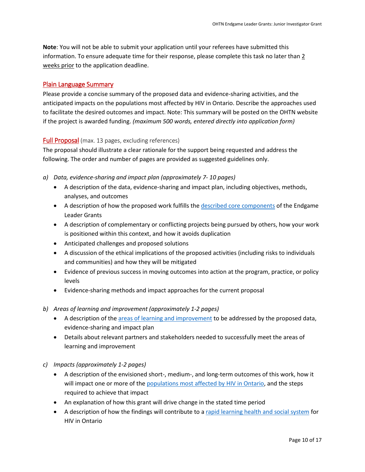**Note**: You will not be able to submit your application until your referees have submitted this information. To ensure adequate time for their response, please complete this task no later than 2 weeks prior to the application deadline.

#### <span id="page-9-1"></span>Plain Language Summary

Please provide a concise summary of the proposed data and evidence-sharing activities, and the anticipated impacts on the populations most affected by HIV in Ontario. Describe the approaches used to facilitate the desired outcomes and impact. Note: This summary will be posted on the OHTN website if the project is awarded funding. *(maximum 500 words, entered directly into application form)*

#### <span id="page-9-0"></span>Full Proposal (max. 13 pages, excluding references)

The proposal should illustrate a clear rationale for the support being requested and address the following. The order and number of pages are provided as suggested guidelines only.

- *a) Data, evidence-sharing and impact plan (approximately 7- 10 pages)*
	- A description of the data, evidence-sharing and impact plan, including objectives, methods, analyses, and outcomes
	- A description of how the proposed work fulfills the [described core components](#page-3-1) of the Endgame Leader Grants
	- A description of complementary or conflicting projects being pursued by others, how your work is positioned within this context, and how it avoids duplication
	- Anticipated challenges and proposed solutions
	- A discussion of the ethical implications of the proposed activities (including risks to individuals and communities) and how they will be mitigated
	- Evidence of previous success in moving outcomes into action at the program, practice, or policy levels
	- Evidence-sharing methods and impact approaches for the current proposal
- *b) Areas of learning and improvement (approximately 1-2 pages)*
	- A description of th[e areas of learning and improvement](#page-3-3) to be addressed by the proposed data, evidence-sharing and impact plan
	- Details about relevant partners and stakeholders needed to successfully meet the areas of learning and improvement
- *c) Impacts (approximately 1-2 pages)*
	- A description of the envisioned short-, medium-, and long-term outcomes of this work, how it will impact one or more of the [populations most affected by HIV in Ontario,](#page-3-2) and the steps required to achieve that impact
	- An explanation of how this grant will drive change in the stated time period
	- A description of how the findings will contribute to a [rapid learning health and social system](http://www.ohtn.on.ca/about/rapid-learning/) for HIV in Ontario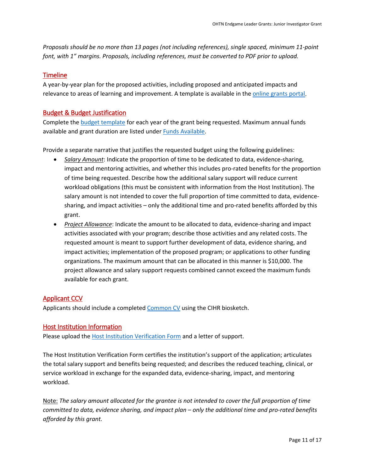*Proposals should be no more than 13 pages (not including references), single spaced, minimum 11-point font, with 1" margins. Proposals, including references, must be converted to PDF prior to upload.*

## <span id="page-10-0"></span>Timeline

A year-by-year plan for the proposed activities, including proposed and anticipated impacts and relevance to areas of learning and improvement. A template is available in the [online grants portal.](https://apply-ohtn-on.smapply.io/)

## <span id="page-10-1"></span>Budget & Budget Justification

Complete the [budget template](https://apply-ohtn-on.smapply.io/protected/resource/eyJoZnJlIjogOTkyMzg1MzAsICJ2cSI6IDE2MTg2Mn0/) for each year of the grant being requested. Maximum annual funds available and grant duration are listed unde[r Funds Available.](#page-4-0)

Provide a separate narrative that justifies the requested budget using the following guidelines:

- *Salary Amount*: Indicate the proportion of time to be dedicated to data, evidence-sharing, impact and mentoring activities, and whether this includes pro-rated benefits for the proportion of time being requested. Describe how the additional salary support will reduce current workload obligations (this must be consistent with information from the Host Institution). The salary amount is not intended to cover the full proportion of time committed to data, evidencesharing, and impact activities – only the additional time and pro-rated benefits afforded by this grant.
- *Project Allowance*: Indicate the amount to be allocated to data, evidence-sharing and impact activities associated with your program; describe those activities and any related costs. The requested amount is meant to support further development of data, evidence sharing, and impact activities; implementation of the proposed program; or applications to other funding organizations. The maximum amount that can be allocated in this manner is \$10,000. The project allowance and salary support requests combined cannot exceed the maximum funds available for each grant.

## <span id="page-10-2"></span>Applicant CCV

Applicants should include a completed [Common CV](https://ccv-cvc.ca/loginresearcher-eng.frm) using the CIHR biosketch.

## <span id="page-10-3"></span>Host Institution Information

Please upload the [Host Institution Verification Form](https://apply-ohtn-on.smapply.io/protected/resource/eyJoZnJlIjogOTkyMzg1MzAsICJ2cSI6IDE2MTg2OH0/) and a letter of support.

The Host Institution Verification Form certifies the institution's support of the application; articulates the total salary support and benefits being requested; and describes the reduced teaching, clinical, or service workload in exchange for the expanded data, evidence-sharing, impact, and mentoring workload.

Note: *The salary amount allocated for the grantee is not intended to cover the full proportion of time committed to data, evidence sharing, and impact plan – only the additional time and pro-rated benefits afforded by this grant.*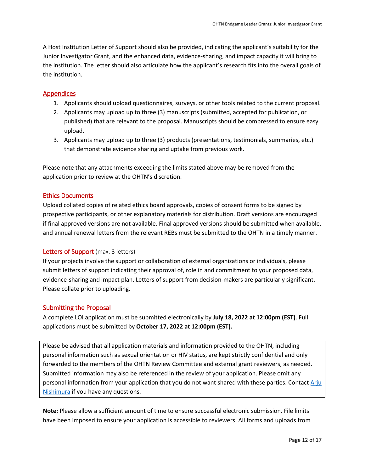A Host Institution Letter of Support should also be provided, indicating the applicant's suitability for the Junior Investigator Grant, and the enhanced data, evidence-sharing, and impact capacity it will bring to the institution. The letter should also articulate how the applicant's research fits into the overall goals of the institution.

## <span id="page-11-0"></span>Appendices

- 1. Applicants should upload questionnaires, surveys, or other tools related to the current proposal.
- 2. Applicants may upload up to three (3) manuscripts (submitted, accepted for publication, or published) that are relevant to the proposal. Manuscripts should be compressed to ensure easy upload.
- 3. Applicants may upload up to three (3) products (presentations, testimonials, summaries, etc.) that demonstrate evidence sharing and uptake from previous work.

Please note that any attachments exceeding the limits stated above may be removed from the application prior to review at the OHTN's discretion.

#### <span id="page-11-1"></span>Ethics Documents

Upload collated copies of related ethics board approvals, copies of consent forms to be signed by prospective participants, or other explanatory materials for distribution. Draft versions are encouraged if final approved versions are not available. Final approved versions should be submitted when available, and annual renewal letters from the relevant REBs must be submitted to the OHTN in a timely manner.

#### <span id="page-11-2"></span>Letters of Support (max. 3 letters)

If your projects involve the support or collaboration of external organizations or individuals, please submit letters of support indicating their approval of, role in and commitment to your proposed data, evidence-sharing and impact plan. Letters of support from decision-makers are particularly significant. Please collate prior to uploading.

## <span id="page-11-3"></span>Submitting the Proposal

A complete LOI application must be submitted electronically by **July 18, 2022 at 12:00pm (EST)**. Full applications must be submitted by **October 17, 2022 at 12:00pm (EST).**

Please be advised that all application materials and information provided to the OHTN, including personal information such as sexual orientation or HIV status, are kept strictly confidential and only forwarded to the members of the OHTN Review Committee and external grant reviewers, as needed. Submitted information may also be referenced in the review of your application. Please omit any personal information from your application that you do not want shared with these parties. Contact Arju [Nishimura](mailto:anishimura@ohtn.on.ca) if you have any questions.

**Note:** Please allow a sufficient amount of time to ensure successful electronic submission. File limits have been imposed to ensure your application is accessible to reviewers. All forms and uploads from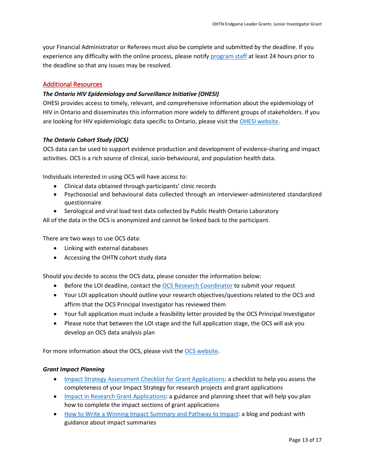your Financial Administrator or Referees must also be complete and submitted by the deadline. If you experience any difficulty with the online process, please notify [program staff](mailto:funding@ohtn.on.ca?subject=Technical%20Issue%20with%20OHTN%20Online%20Application%20Portal) at least 24 hours prior to the deadline so that any issues may be resolved.

#### <span id="page-12-0"></span>Additional Resources

#### *The Ontario HIV Epidemiology and Surveillance Initiative (OHESI)*

OHESI provides access to timely, relevant, and comprehensive information about the epidemiology of HIV in Ontario and disseminates this information more widely to different groups of stakeholders. If you are looking for HIV epidemiologic data specific to Ontario, please visit the [OHESI website.](http://www.ohesi.ca/)

#### *The Ontario Cohort Study (OCS)*

OCS data can be used to support evidence production and development of evidence-sharing and impact activities. OCS is a rich source of clinical, socio-behavioural, and population health data.

Individuals interested in using OCS will have access to:

- Clinical data obtained through participants' clinic records
- Psychosocial and behavioural data collected through an interviewer-administered standardized questionnaire
- Serological and viral load test data collected by Public Health Ontario Laboratory

All of the data in the OCS is anonymized and cannot be linked back to the participant.

There are two ways to use OCS data:

- Linking with external databases
- Accessing the OHTN cohort study data

Should you decide to access the OCS data, please consider the information below:

- Before the LOI deadline, contact the [OCS Research Coordinator](mailto:ocsinfo@ohtn.on.ca) to submit your request
- Your LOI application should outline your research objectives/questions related to the OCS and affirm that the OCS Principal Investigator has reviewed them
- Your full application must include a feasibility letter provided by the OCS Principal Investigator
- Please note that between the LOI stage and the full application stage, the OCS will ask you develop an OCS data analysis plan

For more information about the OCS, please visit the [OCS website.](http://ohtncohortstudy.ca/research/#accessing)

#### *Grant Impact Planning*

- [Impact Strategy Assessment Checklist for Grant Applications:](http://researchimpact.ca/wp-content/uploads/2018/08/Impact-Strategy-Assessment-Checklist.pdf) a checklist to help you assess the completeness of your Impact Strategy for research projects and grant applications
- [Impact in Research Grant Applications:](https://www.york.ac.uk/staff/research/research-impact/impact-in-grants/) a guidance and planning sheet that will help you plan how to complete the impact sections of grant applications
- [How to Write a Winning Impact Summary and Pathway to Impact:](https://www.fasttrackimpact.com/post/2017/06/01/how-to-write-an-impact-summary-and-pathway-to-impact) a blog and podcast with guidance about impact summaries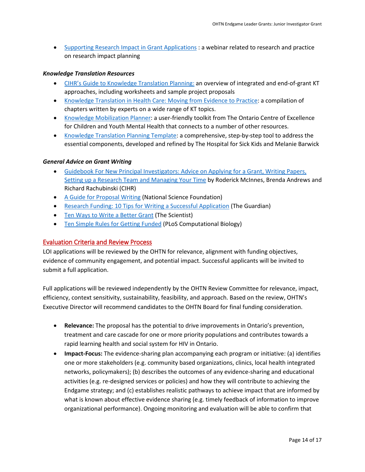• [Supporting Research Impact in Grant Applications](http://researchimpact.ca/supporting-research-impact-in-grant-applications/) : a webinar related to research and practice on research impact planning

#### *Knowledge Translation Resources*

- [CIHR's Guide to Knowledge Translation Planning:](http://www.cihr-irsc.gc.ca/e/45321.html) an overview of integrated and end-of-grant KT approaches, including worksheets and sample project proposals
- [Knowledge Translation in Health Care: Moving from Evidence to Practice:](http://www.cihr-irsc.gc.ca/e/40618.html) a compilation of chapters written by experts on a wide range of KT topics.
- [Knowledge Mobilization Planner:](http://www.kmbtoolkit.ca/planning) a user-friendly toolkit from The Ontario Centre of Excellence for Children and Youth Mental Health that connects to a number of other resources.
- [Knowledge Translation Planning Template:](http://www.sickkids.ca/Learning/AbouttheInstitute/Programs/Knowledge-Translation/Resources/Resources.html) a comprehensive, step-by-step tool to address the essential components, developed and refined by The Hospital for Sick Kids and Melanie Barwick

#### *General Advice on Grant Writing*

- [Guidebook For New Principal Investigators: Advice on Applying for a Grant, Writing Papers,](http://www.cihr-irsc.gc.ca/e/27491.html#1.5)  [Setting up a Research Team and Managing Your Time](http://www.cihr-irsc.gc.ca/e/27491.html#1.5) by Roderick McInnes, Brenda Andrews and Richard Rachubinski (CIHR)
- [A Guide for Proposal Writing](http://www.nsf.gov/pubs/1998/nsf9891/nsf9891.htm) (National Science Foundation)
- [Research Funding: 10 Tips for Writing a Successful Application](http://www.theguardian.com/higher-education-network/blog/2013/apr/19/tips-successful-research-grant-funding?CMP=twt_gu) (The Guardian)
- [Ten Ways to Write a Better Grant](http://www.the-scientist.com/?articles.view/articleNo/24622/title/Ten-Ways-to-Write-a-Better-Grant/) (The Scientist)
- [Ten Simple Rules for Getting Funded](http://journals.plos.org/ploscompbiol/article?id=10.1371/journal.pcbi.0020012) (PLoS Computational Biology)

#### <span id="page-13-0"></span>Evaluation Criteria and Review Process

LOI applications will be reviewed by the OHTN for relevance, alignment with funding objectives, evidence of community engagement, and potential impact. Successful applicants will be invited to submit a full application.

Full applications will be reviewed independently by the OHTN Review Committee for relevance, impact, efficiency, context sensitivity, sustainability, feasibility, and approach. Based on the review, OHTN's Executive Director will recommend candidates to the OHTN Board for final funding consideration.

- **Relevance:** The proposal has the potential to drive improvements in Ontario's prevention, treatment and care cascade for one or more priority populations and contributes towards a rapid learning health and social system for HIV in Ontario.
- **Impact-Focus:** The evidence-sharing plan accompanying each program or initiative: (a) identifies one or more stakeholders (e.g. community based organizations, clinics, local health integrated networks, policymakers); (b) describes the outcomes of any evidence-sharing and educational activities (e.g. re-designed services or policies) and how they will contribute to achieving the Endgame strategy; and (c) establishes realistic pathways to achieve impact that are informed by what is known about effective evidence sharing (e.g. timely feedback of information to improve organizational performance). Ongoing monitoring and evaluation will be able to confirm that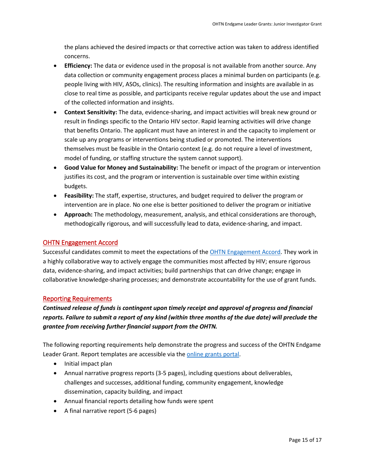the plans achieved the desired impacts or that corrective action was taken to address identified concerns.

- **Efficiency:** The data or evidence used in the proposal is not available from another source. Any data collection or community engagement process places a minimal burden on participants (e.g. people living with HIV, ASOs, clinics). The resulting information and insights are available in as close to real time as possible, and participants receive regular updates about the use and impact of the collected information and insights.
- **Context Sensitivity:** The data, evidence-sharing, and impact activities will break new ground or result in findings specific to the Ontario HIV sector. Rapid learning activities will drive change that benefits Ontario. The applicant must have an interest in and the capacity to implement or scale up any programs or interventions being studied or promoted. The interventions themselves must be feasible in the Ontario context (e.g. do not require a level of investment, model of funding, or staffing structure the system cannot support).
- **Good Value for Money and Sustainability:** The benefit or impact of the program or intervention justifies its cost, and the program or intervention is sustainable over time within existing budgets.
- **Feasibility:** The staff, expertise, structures, and budget required to deliver the program or intervention are in place. No one else is better positioned to deliver the program or initiative
- **Approach:** The methodology, measurement, analysis, and ethical considerations are thorough, methodogically rigorous, and will successfully lead to data, evidence-sharing, and impact.

## <span id="page-14-0"></span>OHTN Engagement Accord

Successful candidates commit to meet the expectations of the [OHTN Engagement Accord.](http://www.ohtn.on.ca/wp-content/uploads/research-funding/OHTN-Engagement-Accord.pdf) They work in a highly collaborative way to actively engage the communities most affected by HIV; ensure rigorous data, evidence-sharing, and impact activities; build partnerships that can drive change; engage in collaborative knowledge-sharing processes; and demonstrate accountability for the use of grant funds.

## <span id="page-14-1"></span>Reporting Requirements

*Continued release of funds is contingent upon timely receipt and approval of progress and financial reports. Failure to submit a report of any kind (within three months of the due date) will preclude the grantee from receiving further financial support from the OHTN.* 

The following reporting requirements help demonstrate the progress and success of the OHTN Endgame Leader Grant. Report templates are accessible via the [online grants portal.](https://apply-ohtn-on.smapply.io/)

- Initial impact plan
- Annual narrative progress reports (3-5 pages), including questions about deliverables, challenges and successes, additional funding, community engagement, knowledge dissemination, capacity building, and impact
- Annual financial reports detailing how funds were spent
- A final narrative report (5-6 pages)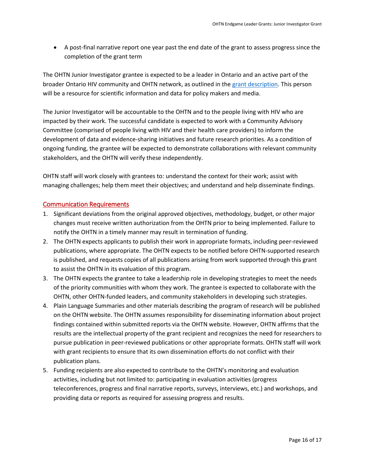• A post-final narrative report one year past the end date of the grant to assess progress since the completion of the grant term

The OHTN Junior Investigator grantee is expected to be a leader in Ontario and an active part of the broader Ontario HIV community and OHTN network, as outlined in the grant [description.](#page-3-1) This person will be a resource for scientific information and data for policy makers and media.

The Junior Investigator will be accountable to the OHTN and to the people living with HIV who are impacted by their work. The successful candidate is expected to work with a Community Advisory Committee (comprised of people living with HIV and their health care providers) to inform the development of data and evidence-sharing initiatives and future research priorities. As a condition of ongoing funding, the grantee will be expected to demonstrate collaborations with relevant community stakeholders, and the OHTN will verify these independently.

OHTN staff will work closely with grantees to: understand the context for their work; assist with managing challenges; help them meet their objectives; and understand and help disseminate findings.

#### <span id="page-15-0"></span>Communication Requirements

- 1. Significant deviations from the original approved objectives, methodology, budget, or other major changes must receive written authorization from the OHTN prior to being implemented. Failure to notify the OHTN in a timely manner may result in termination of funding.
- 2. The OHTN expects applicants to publish their work in appropriate formats, including peer-reviewed publications, where appropriate. The OHTN expects to be notified before OHTN-supported research is published, and requests copies of all publications arising from work supported through this grant to assist the OHTN in its evaluation of this program.
- 3. The OHTN expects the grantee to take a leadership role in developing strategies to meet the needs of the priority communities with whom they work. The grantee is expected to collaborate with the OHTN, other OHTN-funded leaders, and community stakeholders in developing such strategies.
- 4. Plain Language Summaries and other materials describing the program of research will be published on the OHTN website. The OHTN assumes responsibility for disseminating information about project findings contained within submitted reports via the OHTN website. However, OHTN affirms that the results are the intellectual property of the grant recipient and recognizes the need for researchers to pursue publication in peer-reviewed publications or other appropriate formats. OHTN staff will work with grant recipients to ensure that its own dissemination efforts do not conflict with their publication plans.
- 5. Funding recipients are also expected to contribute to the OHTN's monitoring and evaluation activities, including but not limited to: participating in evaluation activities (progress teleconferences, progress and final narrative reports, surveys, interviews, etc.) and workshops, and providing data or reports as required for assessing progress and results.